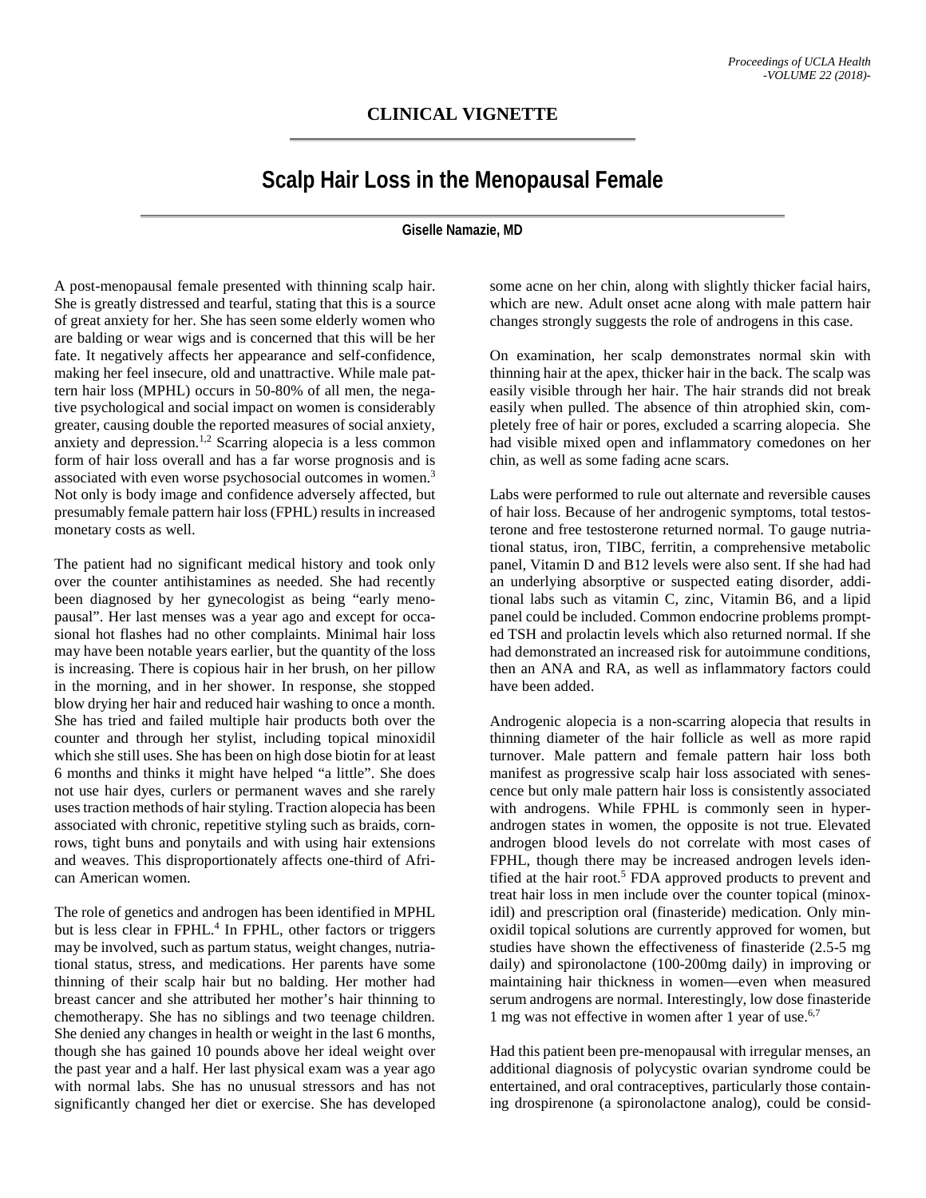## **CLINICAL VIGNETTE**

## **Scalp Hair Loss in the Menopausal Female**

## **Giselle Namazie, MD**

A post-menopausal female presented with thinning scalp hair. She is greatly distressed and tearful, stating that this is a source of great anxiety for her. She has seen some elderly women who are balding or wear wigs and is concerned that this will be her fate. It negatively affects her appearance and self-confidence, making her feel insecure, old and unattractive. While male pattern hair loss (MPHL) occurs in 50-80% of all men, the negative psychological and social impact on women is considerably greater, causing double the reported measures of social anxiety, anxiety and depression. 1,2 Scarring alopecia is a less common form of hair loss overall and has a far worse prognosis and is associated with even worse psychosocial outcomes in women.3 Not only is body image and confidence adversely affected, but presumably female pattern hair loss (FPHL) results in increased monetary costs as well.

The patient had no significant medical history and took only over the counter antihistamines as needed. She had recently been diagnosed by her gynecologist as being "early menopausal". Her last menses was a year ago and except for occasional hot flashes had no other complaints. Minimal hair loss may have been notable years earlier, but the quantity of the loss is increasing. There is copious hair in her brush, on her pillow in the morning, and in her shower. In response, she stopped blow drying her hair and reduced hair washing to once a month. She has tried and failed multiple hair products both over the counter and through her stylist, including topical minoxidil which she still uses. She has been on high dose biotin for at least 6 months and thinks it might have helped "a little". She does not use hair dyes, curlers or permanent waves and she rarely uses traction methods of hair styling. Traction alopecia has been associated with chronic, repetitive styling such as braids, cornrows, tight buns and ponytails and with using hair extensions and weaves. This disproportionately affects one-third of African American women.

The role of genetics and androgen has been identified in MPHL but is less clear in  $FPHL<sup>4</sup>$  In FPHL, other factors or triggers may be involved, such as partum status, weight changes, nutriational status, stress, and medications. Her parents have some thinning of their scalp hair but no balding. Her mother had breast cancer and she attributed her mother's hair thinning to chemotherapy. She has no siblings and two teenage children. She denied any changes in health or weight in the last 6 months, though she has gained 10 pounds above her ideal weight over the past year and a half. Her last physical exam was a year ago with normal labs. She has no unusual stressors and has not significantly changed her diet or exercise. She has developed some acne on her chin, along with slightly thicker facial hairs, which are new. Adult onset acne along with male pattern hair changes strongly suggests the role of androgens in this case.

On examination, her scalp demonstrates normal skin with thinning hair at the apex, thicker hair in the back. The scalp was easily visible through her hair. The hair strands did not break easily when pulled. The absence of thin atrophied skin, completely free of hair or pores, excluded a scarring alopecia. She had visible mixed open and inflammatory comedones on her chin, as well as some fading acne scars.

Labs were performed to rule out alternate and reversible causes of hair loss. Because of her androgenic symptoms, total testosterone and free testosterone returned normal. To gauge nutriational status, iron, TIBC, ferritin, a comprehensive metabolic panel, Vitamin D and B12 levels were also sent. If she had had an underlying absorptive or suspected eating disorder, additional labs such as vitamin C, zinc, Vitamin B6, and a lipid panel could be included. Common endocrine problems prompted TSH and prolactin levels which also returned normal. If she had demonstrated an increased risk for autoimmune conditions, then an ANA and RA, as well as inflammatory factors could have been added.

Androgenic alopecia is a non-scarring alopecia that results in thinning diameter of the hair follicle as well as more rapid turnover. Male pattern and female pattern hair loss both manifest as progressive scalp hair loss associated with senescence but only male pattern hair loss is consistently associated with androgens. While FPHL is commonly seen in hyperandrogen states in women, the opposite is not true. Elevated androgen blood levels do not correlate with most cases of FPHL, though there may be increased androgen levels identified at the hair root.5 FDA approved products to prevent and treat hair loss in men include over the counter topical (minoxidil) and prescription oral (finasteride) medication. Only minoxidil topical solutions are currently approved for women, but studies have shown the effectiveness of finasteride (2.5-5 mg daily) and spironolactone (100-200mg daily) in improving or maintaining hair thickness in women—even when measured serum androgens are normal. Interestingly, low dose finasteride 1 mg was not effective in women after 1 year of use.<sup>6,7</sup>

Had this patient been pre-menopausal with irregular menses, an additional diagnosis of polycystic ovarian syndrome could be entertained, and oral contraceptives, particularly those containing drospirenone (a spironolactone analog), could be consid